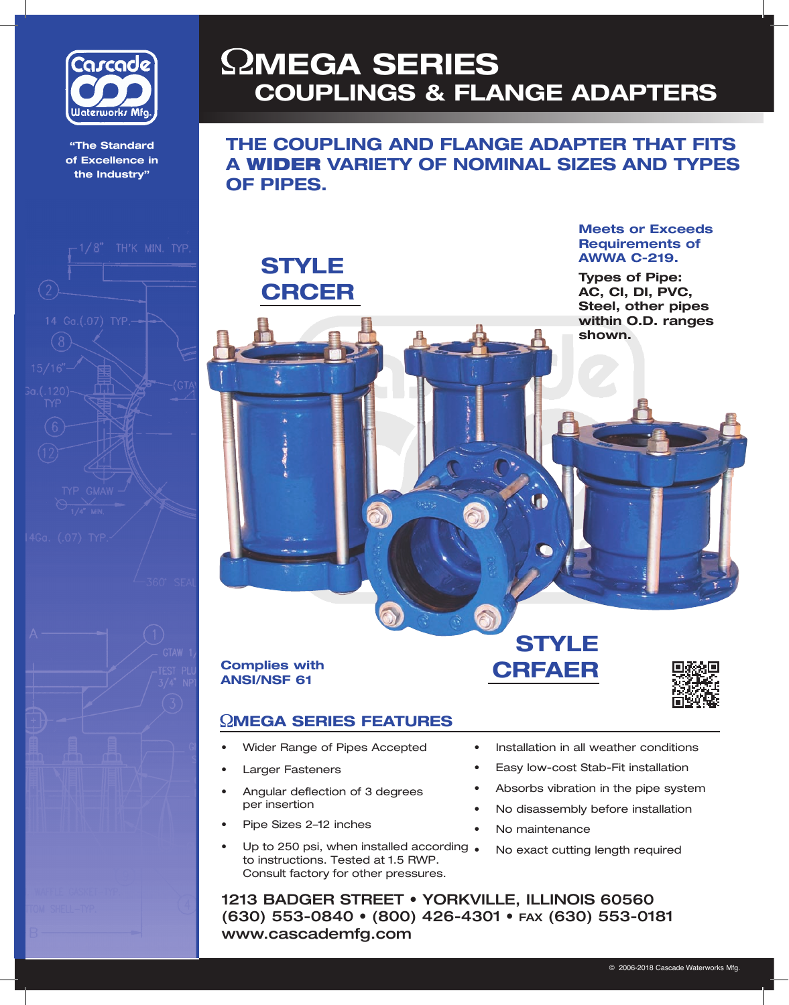

**"The Standard "The Standard of Excellence in of Excellence in the Industry" the Industry"**





## **MEGA SERIES COUPLINGS & FLANGE ADAPTERS**

**THE COUPLING AND FLANGE ADAPTER THAT FITS A** WIDER **VARIETY OF NOMINAL SIZES AND TYPES OF PIPES.**

> **Meets or Exceeds Requirements of AWWA C-219.**

> **Types of Pipe: AC, CI, DI, PVC, Steel, other pipes within O.D. ranges shown.**

**Complies with ANSI/NSF**

**STYLE**

**CRCER**

#### **MEGA SERIES FEATURES**

- Wider Range of Pipes Accepted
- **Larger Fasteners**
- Angular deflection of 3 degrees per insertion
- Pipe Sizes 2-12 inches
- Up to 250 psi, when installed according . to instructions. Tested at 1.5 RWP. Consult factory for other pressures.

### **STYLE <sup>61</sup> CRFAER**



• Installation in all weather conditions

- Easy low-cost Stab-Fit installation
- Absorbs vibration in the pipe system
- No disassembly before installation
- No maintenance
- No exact cutting length required

1213 BADGER STREET • YORKVILLE, ILLINOIS 60560 (630) 553-0840 • (800) 426-4301 • FAX (630) 553-0181 www.cascademfg.com